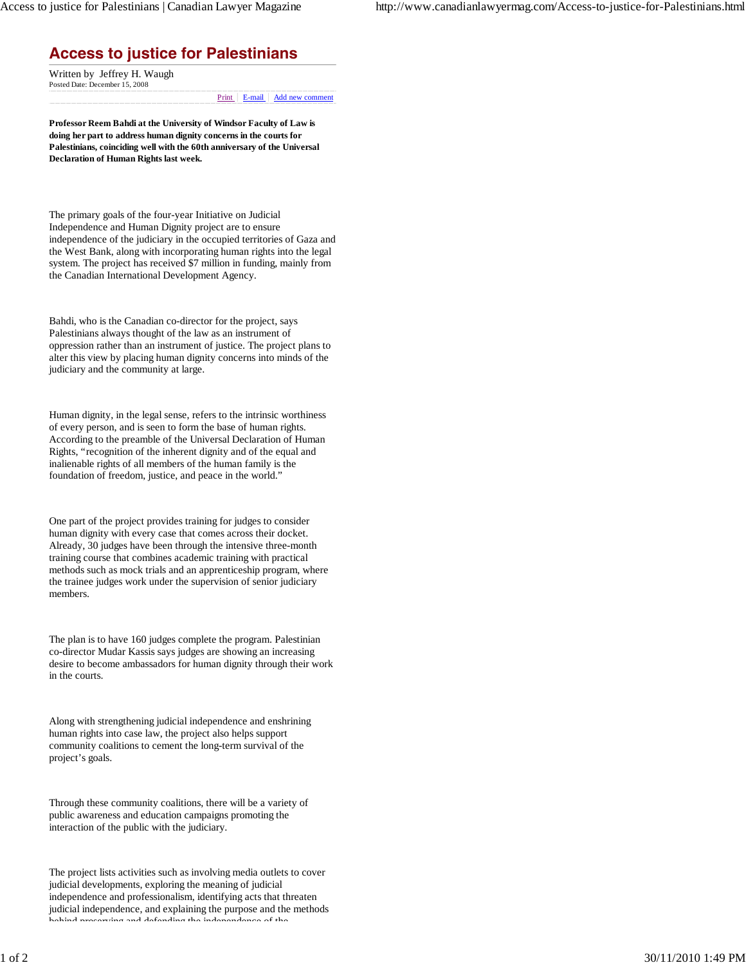## **Access to justice for Palestinians**

Posted Date: December 15, 2008 Written by Jeffrey H. Waugh

Print | E-mail | Add new comment

**Professor Reem Bahdi at the University of Windsor Faculty of Law is doing her part to address human dignity concerns in the courts for Palestinians, coinciding well with the 60th anniversary of the Universal Declaration of Human Rights last week.**

The primary goals of the four-year Initiative on Judicial Independence and Human Dignity project are to ensure independence of the judiciary in the occupied territories of Gaza and the West Bank, along with incorporating human rights into the legal system. The project has received \$7 million in funding, mainly from the Canadian International Development Agency.

Bahdi, who is the Canadian co-director for the project, says Palestinians always thought of the law as an instrument of oppression rather than an instrument of justice. The project plans to alter this view by placing human dignity concerns into minds of the judiciary and the community at large.

Human dignity, in the legal sense, refers to the intrinsic worthiness of every person, and is seen to form the base of human rights. According to the preamble of the Universal Declaration of Human Rights, "recognition of the inherent dignity and of the equal and inalienable rights of all members of the human family is the foundation of freedom, justice, and peace in the world."

One part of the project provides training for judges to consider human dignity with every case that comes across their docket. Already, 30 judges have been through the intensive three-month training course that combines academic training with practical methods such as mock trials and an apprenticeship program, where the trainee judges work under the supervision of senior judiciary members.

The plan is to have 160 judges complete the program. Palestinian co-director Mudar Kassis says judges are showing an increasing desire to become ambassadors for human dignity through their work in the courts.

Along with strengthening judicial independence and enshrining human rights into case law, the project also helps support community coalitions to cement the long-term survival of the project's goals.

Through these community coalitions, there will be a variety of public awareness and education campaigns promoting the interaction of the public with the judiciary.

The project lists activities such as involving media outlets to cover judicial developments, exploring the meaning of judicial independence and professionalism, identifying acts that threaten judicial independence, and explaining the purpose and the methods behind preserving and defending the independence of the